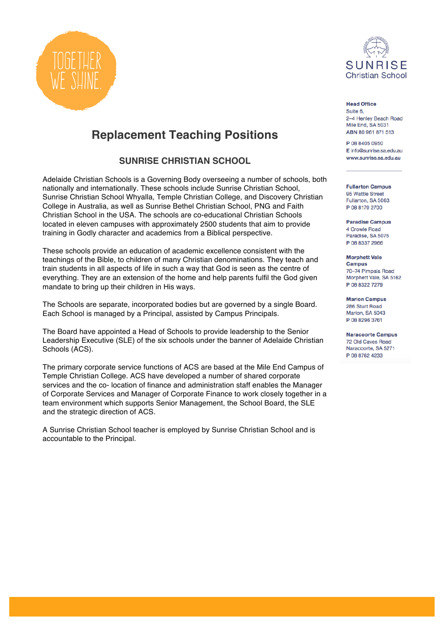



**Head Office** Suite 6, 2-4 Henley Beach Road Mile End, SA 5031 ABN 80 961 871 513

P 08 8405 0950 E info@sunrise.sa.edu.au www.sunrise.sa.edu.au

**Fullarton Campus** 95 Wattle Street Fullarton, SA 5063 P 08 8179 2700

**Paradise Campus** 4 Crowle Road Paradise, SA 5075 P 08 8337 2966

**Morphett Vale Campus** 70-74 Pimpala Road Morphett Vale, SA 5162 P 08 8322 7279

**Marion Campus** 286 Sturt Road Marion, SA 5043 P 08 8296 3761

**Naracoorte Campus** 72 Old Caves Road Naracoorte, SA 5271 P 08 8762 4233

# **Replacement Teaching Positions**

**SUNRISE CHRISTIAN SCHOOL**

Adelaide Christian Schools is a Governing Body overseeing a number of schools, both nationally and internationally. These schools include Sunrise Christian School, Sunrise Christian School Whyalla, Temple Christian College, and Discovery Christian College in Australia, as well as Sunrise Bethel Christian School, PNG and Faith Christian School in the USA. The schools are co-educational Christian Schools located in eleven campuses with approximately 2500 students that aim to provide training in Godly character and academics from a Biblical perspective.

These schools provide an education of academic excellence consistent with the teachings of the Bible, to children of many Christian denominations. They teach and train students in all aspects of life in such a way that God is seen as the centre of everything. They are an extension of the home and help parents fulfil the God given mandate to bring up their children in His ways.

The Schools are separate, incorporated bodies but are governed by a single Board. Each School is managed by a Principal, assisted by Campus Principals.

The Board have appointed a Head of Schools to provide leadership to the Senior Leadership Executive (SLE) of the six schools under the banner of Adelaide Christian Schools (ACS).

The primary corporate service functions of ACS are based at the Mile End Campus of Temple Christian College. ACS have developed a number of shared corporate services and the co- location of finance and administration staff enables the Manager of Corporate Services and Manager of Corporate Finance to work closely together in a team environment which supports Senior Management, the School Board, the SLE and the strategic direction of ACS.

A Sunrise Christian School teacher is employed by Sunrise Christian School and is accountable to the Principal.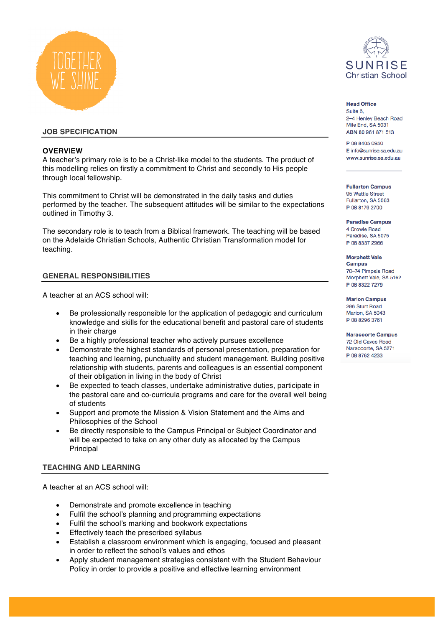

# **JOB SPECIFICATION**

#### **OVERVIEW**

A teacher's primary role is to be a Christ-like model to the students. The product of this modelling relies on firstly a commitment to Christ and secondly to His people through local fellowship.

This commitment to Christ will be demonstrated in the daily tasks and duties performed by the teacher. The subsequent attitudes will be similar to the expectations outlined in Timothy 3.

The secondary role is to teach from a Biblical framework. The teaching will be based on the Adelaide Christian Schools, Authentic Christian Transformation model for teaching.

#### **GENERAL RESPONSIBILITIES**

A teacher at an ACS school will:

- Be professionally responsible for the application of pedagogic and curriculum knowledge and skills for the educational benefit and pastoral care of students in their charge
- Be a highly professional teacher who actively pursues excellence
- Demonstrate the highest standards of personal presentation, preparation for teaching and learning, punctuality and student management. Building positive relationship with students, parents and colleagues is an essential component of their obligation in living in the body of Christ
- Be expected to teach classes, undertake administrative duties, participate in the pastoral care and co-curricula programs and care for the overall well being of students
- Support and promote the Mission & Vision Statement and the Aims and Philosophies of the School
- Be directly responsible to the Campus Principal or Subject Coordinator and will be expected to take on any other duty as allocated by the Campus Principal

#### **TEACHING AND LEARNING**

A teacher at an ACS school will:

- Demonstrate and promote excellence in teaching
- Fulfil the school's planning and programming expectations
- Fulfil the school's marking and bookwork expectations
- Effectively teach the prescribed syllabus
- Establish a classroom environment which is engaging, focused and pleasant in order to reflect the school's values and ethos
- Apply student management strategies consistent with the Student Behaviour Policy in order to provide a positive and effective learning environment



#### **Head Office** Suite 6, 2-4 Henley Beach Road Mile End, SA 5031 ABN 80 961 871 513

P 08 8405 0950 E info@sunrise.sa.edu.au www.sunrise.sa.edu.au

**Fullarton Campus** 95 Wattle Street Fullarton, SA 5063 P 08 8179 2700

**Paradise Campus** 4 Crowle Road Paradise, SA 5075 P 08 8337 2966

**Morphett Vale Campus** 70-74 Pimpala Road Morphett Vale, SA 5162 P 08 8322 7279

**Marion Campus** 286 Sturt Road Marion, SA 5043 P 08 8296 3761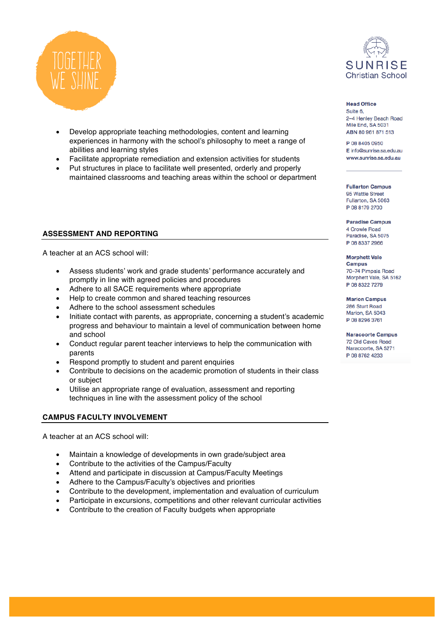

- Develop appropriate teaching methodologies, content and learning experiences in harmony with the school's philosophy to meet a range of abilities and learning styles
- Facilitate appropriate remediation and extension activities for students
- Put structures in place to facilitate well presented, orderly and properly maintained classrooms and teaching areas within the school or department

#### **ASSESSMENT AND REPORTING**

A teacher at an ACS school will:

- Assess students' work and grade students' performance accurately and promptly in line with agreed policies and procedures
- Adhere to all SACE requirements where appropriate
- Help to create common and shared teaching resources
- Adhere to the school assessment schedules
- Initiate contact with parents, as appropriate, concerning a student's academic progress and behaviour to maintain a level of communication between home and school
- Conduct regular parent teacher interviews to help the communication with parents
- Respond promptly to student and parent enquiries
- Contribute to decisions on the academic promotion of students in their class or subject
- Utilise an appropriate range of evaluation, assessment and reporting techniques in line with the assessment policy of the school

#### **CAMPUS FACULTY INVOLVEMENT**

A teacher at an ACS school will:

- Maintain a knowledge of developments in own grade/subject area
- Contribute to the activities of the Campus/Faculty
- Attend and participate in discussion at Campus/Faculty Meetings
- Adhere to the Campus/Faculty's objectives and priorities
- Contribute to the development, implementation and evaluation of curriculum
- Participate in excursions, competitions and other relevant curricular activities
- Contribute to the creation of Faculty budgets when appropriate



**Head Office** Suite 6, 2-4 Henley Beach Road Mile End, SA 5031 ABN 80 961 871 513

P 08 8405 0950 E info@sunrise.sa.edu.au www.sunrise.sa.edu.au

**Fullarton Campus** 95 Wattle Street Fullarton, SA 5063 P 08 8179 2700

**Paradise Campus** 4 Crowle Road Paradise, SA 5075 P 08 8337 2966

**Morphett Vale Campus** 70-74 Pimpala Road Morphett Vale, SA 5162 P 08 8322 7279

**Marion Campus** 286 Sturt Road Marion, SA 5043 P 08 8296 3761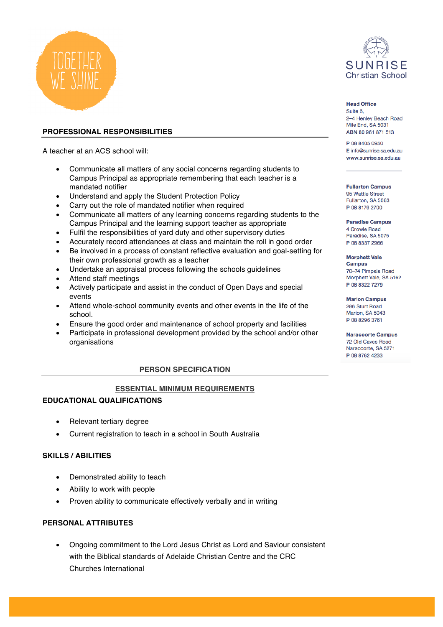

# **PROFESSIONAL RESPONSIBILITIES**

A teacher at an ACS school will:

- Communicate all matters of any social concerns regarding students to Campus Principal as appropriate remembering that each teacher is a mandated notifier
- Understand and apply the Student Protection Policy
- Carry out the role of mandated notifier when required
- Communicate all matters of any learning concerns regarding students to the Campus Principal and the learning support teacher as appropriate
- Fulfil the responsibilities of yard duty and other supervisory duties
- Accurately record attendances at class and maintain the roll in good order • Be involved in a process of constant reflective evaluation and goal-setting for
- their own professional growth as a teacher
- Undertake an appraisal process following the schools guidelines
- Attend staff meetings
- Actively participate and assist in the conduct of Open Days and special events
- Attend whole-school community events and other events in the life of the school.
- Ensure the good order and maintenance of school property and facilities
- Participate in professional development provided by the school and/or other organisations

# **PERSON SPECIFICATION**

# **ESSENTIAL MINIMUM REQUIREMENTS**

# **EDUCATIONAL QUALIFICATIONS**

- Relevant tertiary degree
- Current registration to teach in a school in South Australia

# **SKILLS / ABILITIES**

- Demonstrated ability to teach
- Ability to work with people
- Proven ability to communicate effectively verbally and in writing

# **PERSONAL ATTRIBUTES**

• Ongoing commitment to the Lord Jesus Christ as Lord and Saviour consistent with the Biblical standards of Adelaide Christian Centre and the CRC Churches International



# **Head Office**

Suite 6, 2-4 Henley Beach Road Mile End. SA 5031 ABN 80 961 871 513

P 08 8405 0950 E info@sunrise.sa.edu.au www.sunrise.sa.edu.au

**Fullarton Campus** 95 Wattle Street Fullarton, SA 5063 P 08 8179 2700

**Paradise Campus** 4 Crowle Road Paradise, SA 5075 P 08 8337 2966

**Morphett Vale Campus** 70-74 Pimpala Road Morphett Vale, SA 5162 P 08 8322 7279

**Marion Campus** 286 Sturt Road Marion, SA 5043 P 08 8296 3761